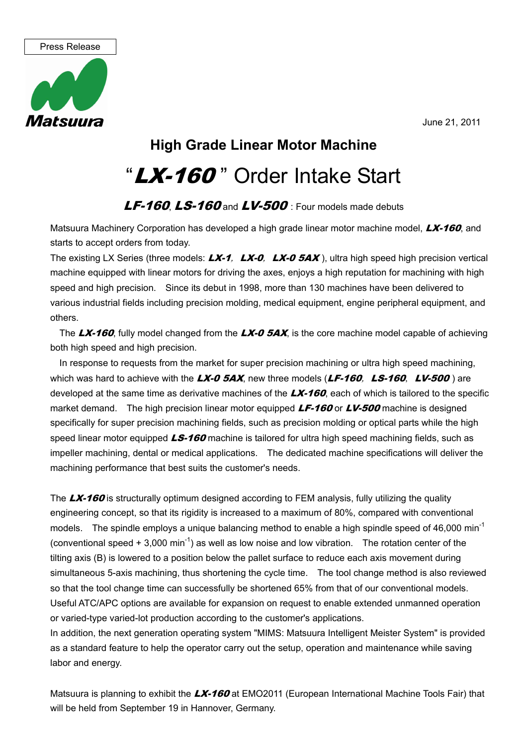

## **High Grade Linear Motor Machine**

## "LX-160" Order Intake Start

## $LF-160$ ,  $LS-160$  and  $LV-500$  : Four models made debuts

Matsuura Machinery Corporation has developed a high grade linear motor machine model, LX-160, and starts to accept orders from today.

The existing LX Series (three models:  $LX-1$ ,  $LX-0$ ,  $LX-0$   $5AX$ ), ultra high speed high precision vertical machine equipped with linear motors for driving the axes, enjoys a high reputation for machining with high speed and high precision. Since its debut in 1998, more than 130 machines have been delivered to various industrial fields including precision molding, medical equipment, engine peripheral equipment, and others.

The  $\Delta X$ -160, fully model changed from the  $\Delta X$ -0 5AX, is the core machine model capable of achieving both high speed and high precision.

In response to requests from the market for super precision machining or ultra high speed machining, which was hard to achieve with the  $LX$ -0 5AX, new three models ( $LF$ -160,  $LS$ -160,  $LV$ -500) are developed at the same time as derivative machines of the  $LX-160$ , each of which is tailored to the specific market demand. The high precision linear motor equipped  $LF-160$  or  $LV-500$  machine is designed specifically for super precision machining fields, such as precision molding or optical parts while the high speed linear motor equipped  $LS-160$  machine is tailored for ultra high speed machining fields, such as impeller machining, dental or medical applications. The dedicated machine specifications will deliver the machining performance that best suits the customer's needs.

The **LX-160** is structurally optimum designed according to FEM analysis, fully utilizing the quality engineering concept, so that its rigidity is increased to a maximum of 80%, compared with conventional models. The spindle employs a unique balancing method to enable a high spindle speed of 46,000 min<sup>-1</sup> (conventional speed  $+3.000$  min<sup>-1</sup>) as well as low noise and low vibration. The rotation center of the tilting axis (B) is lowered to a position below the pallet surface to reduce each axis movement during simultaneous 5-axis machining, thus shortening the cycle time. The tool change method is also reviewed so that the tool change time can successfully be shortened 65% from that of our conventional models. Useful ATC/APC options are available for expansion on request to enable extended unmanned operation or varied-type varied-lot production according to the customer's applications.

In addition, the next generation operating system "MIMS: Matsuura Intelligent Meister System" is provided as a standard feature to help the operator carry out the setup, operation and maintenance while saving labor and energy.

Matsuura is planning to exhibit the LX-160 at EMO2011 (European International Machine Tools Fair) that will be held from September 19 in Hannover, Germany.